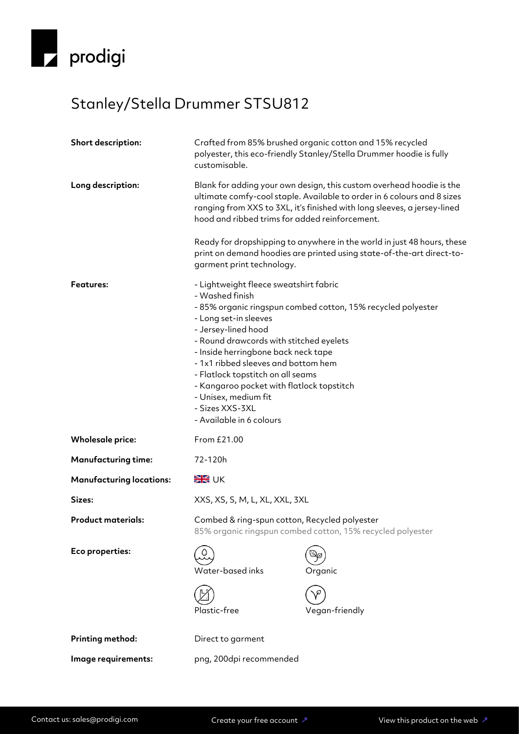

## Stanley/Stella Drummer STSU812

| Short description:              | Crafted from 85% brushed organic cotton and 15% recycled<br>polyester, this eco-friendly Stanley/Stella Drummer hoodie is fully<br>customisable.                                                                                                                                                                                                                                                                                                            |                                                                                                                                                  |
|---------------------------------|-------------------------------------------------------------------------------------------------------------------------------------------------------------------------------------------------------------------------------------------------------------------------------------------------------------------------------------------------------------------------------------------------------------------------------------------------------------|--------------------------------------------------------------------------------------------------------------------------------------------------|
| Long description:               | Blank for adding your own design, this custom overhead hoodie is the<br>ultimate comfy-cool staple. Available to order in 6 colours and 8 sizes<br>ranging from XXS to 3XL, it's finished with long sleeves, a jersey-lined<br>hood and ribbed trims for added reinforcement.                                                                                                                                                                               |                                                                                                                                                  |
|                                 | garment print technology.                                                                                                                                                                                                                                                                                                                                                                                                                                   | Ready for dropshipping to anywhere in the world in just 48 hours, these<br>print on demand hoodies are printed using state-of-the-art direct-to- |
| <b>Features:</b>                | - Lightweight fleece sweatshirt fabric<br>- Washed finish<br>- 85% organic ringspun combed cotton, 15% recycled polyester<br>- Long set-in sleeves<br>- Jersey-lined hood<br>- Round drawcords with stitched eyelets<br>- Inside herringbone back neck tape<br>- 1x1 ribbed sleeves and bottom hem<br>- Flatlock topstitch on all seams<br>- Kangaroo pocket with flatlock topstitch<br>- Unisex, medium fit<br>- Sizes XXS-3XL<br>- Available in 6 colours |                                                                                                                                                  |
| <b>Wholesale price:</b>         | From £21.00                                                                                                                                                                                                                                                                                                                                                                                                                                                 |                                                                                                                                                  |
| <b>Manufacturing time:</b>      | 72-120h                                                                                                                                                                                                                                                                                                                                                                                                                                                     |                                                                                                                                                  |
| <b>Manufacturing locations:</b> | <b>XK</b> UK                                                                                                                                                                                                                                                                                                                                                                                                                                                |                                                                                                                                                  |
| Sizes:                          | XXS, XS, S, M, L, XL, XXL, 3XL                                                                                                                                                                                                                                                                                                                                                                                                                              |                                                                                                                                                  |
| <b>Product materials:</b>       | Combed & ring-spun cotton, Recycled polyester<br>85% organic ringspun combed cotton, 15% recycled polyester                                                                                                                                                                                                                                                                                                                                                 |                                                                                                                                                  |
| Eco properties:                 | Water-based inks<br>Plastic-free                                                                                                                                                                                                                                                                                                                                                                                                                            | Organic<br>Vegan-friendly                                                                                                                        |
| Printing method:                | Direct to garment                                                                                                                                                                                                                                                                                                                                                                                                                                           |                                                                                                                                                  |
| Image requirements:             | png, 200dpi recommended                                                                                                                                                                                                                                                                                                                                                                                                                                     |                                                                                                                                                  |